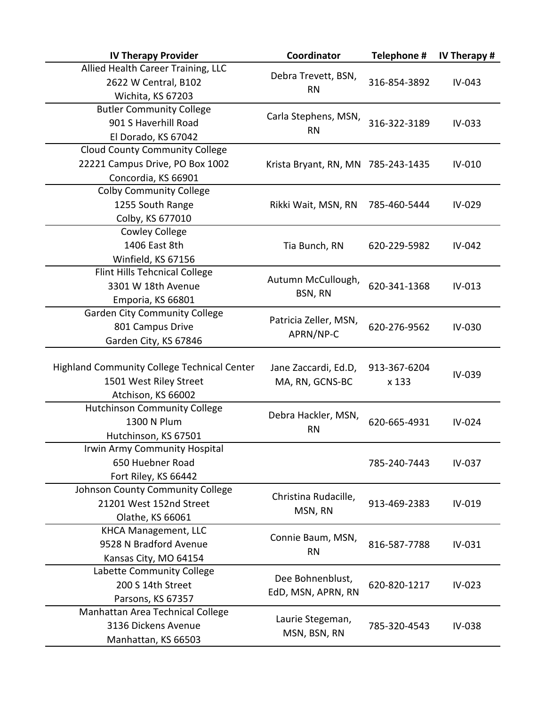| <b>IV Therapy Provider</b>                         | Coordinator                        | Telephone #      | IV Therapy # |
|----------------------------------------------------|------------------------------------|------------------|--------------|
| Allied Health Career Training, LLC                 |                                    |                  |              |
| 2622 W Central, B102                               | Debra Trevett, BSN,                | 316-854-3892     | IV-043       |
| Wichita, KS 67203                                  | <b>RN</b>                          |                  |              |
| <b>Butler Community College</b>                    | Carla Stephens, MSN,               |                  |              |
| 901 S Haverhill Road                               | <b>RN</b>                          | 316-322-3189     | IV-033       |
| El Dorado, KS 67042                                |                                    |                  |              |
| <b>Cloud County Community College</b>              |                                    |                  |              |
| 22221 Campus Drive, PO Box 1002                    | Krista Bryant, RN, MN 785-243-1435 |                  | IV-010       |
| Concordia, KS 66901                                |                                    |                  |              |
| <b>Colby Community College</b>                     |                                    |                  |              |
| 1255 South Range                                   | Rikki Wait, MSN, RN                | 785-460-5444     | IV-029       |
| Colby, KS 677010                                   |                                    |                  |              |
| <b>Cowley College</b>                              |                                    |                  |              |
| 1406 East 8th                                      | Tia Bunch, RN                      | 620-229-5982     | IV-042       |
| Winfield, KS 67156                                 |                                    |                  |              |
| Flint Hills Tehcnical College                      |                                    |                  |              |
| 3301 W 18th Avenue                                 | Autumn McCullough,                 | 620-341-1368     | IV-013       |
| Emporia, KS 66801                                  | BSN, RN                            |                  |              |
| <b>Garden City Community College</b>               |                                    |                  |              |
| 801 Campus Drive                                   | Patricia Zeller, MSN,              | 620-276-9562     | IV-030       |
| Garden City, KS 67846                              | APRN/NP-C                          |                  |              |
|                                                    |                                    |                  |              |
| <b>Highland Community College Technical Center</b> | Jane Zaccardi, Ed.D,               | 913-367-6204     | IV-039       |
| 1501 West Riley Street                             | MA, RN, GCNS-BC                    | x 133            |              |
| Atchison, KS 66002                                 |                                    |                  |              |
| <b>Hutchinson Community College</b>                | Debra Hackler, MSN,                |                  |              |
| 1300 N Plum                                        | <b>RN</b>                          | 620-665-4931     | IV-024       |
| Hutchinson, KS 67501                               |                                    |                  |              |
| Irwin Army Community Hospital                      |                                    |                  |              |
| 650 Huebner Road                                   |                                    | 785-240-7443     | IV-037       |
| Fort Riley, KS 66442                               |                                    |                  |              |
| Johnson County Community College                   | Christina Rudacille,               |                  |              |
| 21201 West 152nd Street                            | MSN, RN                            | 913-469-2383     | IV-019       |
| Olathe, KS 66061                                   |                                    |                  |              |
| <b>KHCA Management, LLC</b>                        | Connie Baum, MSN,                  |                  |              |
| 9528 N Bradford Avenue                             | <b>RN</b>                          | 816-587-7788     | IV-031       |
| Kansas City, MO 64154                              |                                    |                  |              |
| Labette Community College                          | Dee Bohnenblust,                   |                  |              |
| 200 S 14th Street                                  |                                    | 620-820-1217     | IV-023       |
| Parsons, KS 67357                                  | EdD, MSN, APRN, RN                 |                  |              |
| Manhattan Area Technical College                   |                                    | Laurie Stegeman, |              |
| 3136 Dickens Avenue                                | MSN, BSN, RN                       | 785-320-4543     | IV-038       |
| Manhattan, KS 66503                                |                                    |                  |              |